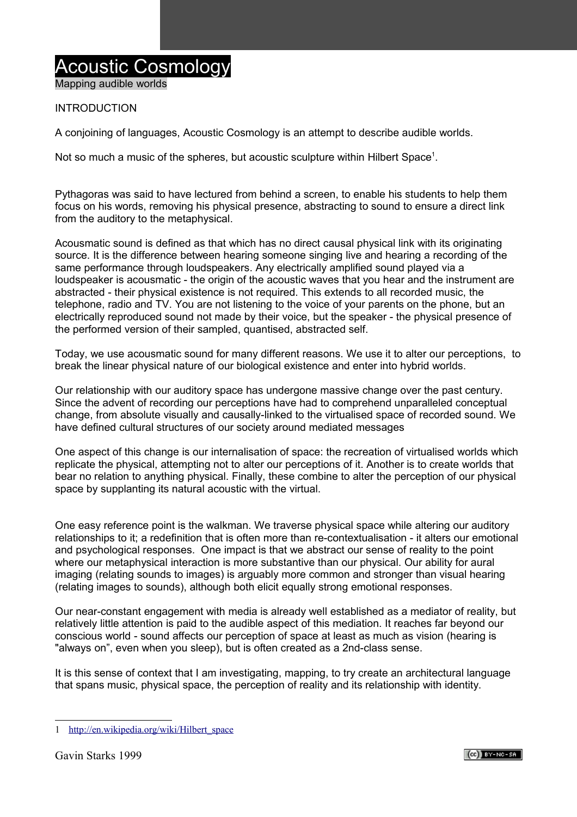# Acoustic Cosmology

Mapping audible worlds

## INTRODUCTION

A conjoining of languages, Acoustic Cosmology is an attempt to describe audible worlds.

Not so much a music of the spheres, but acoustic sculpture within Hilbert Space<sup>[1](#page-0-0)</sup>.

Pythagoras was said to have lectured from behind a screen, to enable his students to help them focus on his words, removing his physical presence, abstracting to sound to ensure a direct link from the auditory to the metaphysical.

Acousmatic sound is defined as that which has no direct causal physical link with its originating source. It is the difference between hearing someone singing live and hearing a recording of the same performance through loudspeakers. Any electrically amplified sound played via a loudspeaker is acousmatic - the origin of the acoustic waves that you hear and the instrument are abstracted - their physical existence is not required. This extends to all recorded music, the telephone, radio and TV. You are not listening to the voice of your parents on the phone, but an electrically reproduced sound not made by their voice, but the speaker - the physical presence of the performed version of their sampled, quantised, abstracted self.

Today, we use acousmatic sound for many different reasons. We use it to alter our perceptions, to break the linear physical nature of our biological existence and enter into hybrid worlds.

Our relationship with our auditory space has undergone massive change over the past century. Since the advent of recording our perceptions have had to comprehend unparalleled conceptual change, from absolute visually and causally-linked to the virtualised space of recorded sound. We have defined cultural structures of our society around mediated messages

One aspect of this change is our internalisation of space: the recreation of virtualised worlds which replicate the physical, attempting not to alter our perceptions of it. Another is to create worlds that bear no relation to anything physical. Finally, these combine to alter the perception of our physical space by supplanting its natural acoustic with the virtual.

One easy reference point is the walkman. We traverse physical space while altering our auditory relationships to it; a redefinition that is often more than re-contextualisation - it alters our emotional and psychological responses. One impact is that we abstract our sense of reality to the point where our metaphysical interaction is more substantive than our physical. Our ability for aural imaging (relating sounds to images) is arguably more common and stronger than visual hearing (relating images to sounds), although both elicit equally strong emotional responses.

Our near-constant engagement with media is already well established as a mediator of reality, but relatively little attention is paid to the audible aspect of this mediation. It reaches far beyond our conscious world - sound affects our perception of space at least as much as vision (hearing is "always on", even when you sleep), but is often created as a 2nd-class sense.

It is this sense of context that I am investigating, mapping, to try create an architectural language that spans music, physical space, the perception of reality and its relationship with identity.



<span id="page-0-0"></span><sup>1</sup> [http://en.wikipedia.org/wiki/Hilbert\\_space](http://en.wikipedia.org/wiki/Hilbert_space)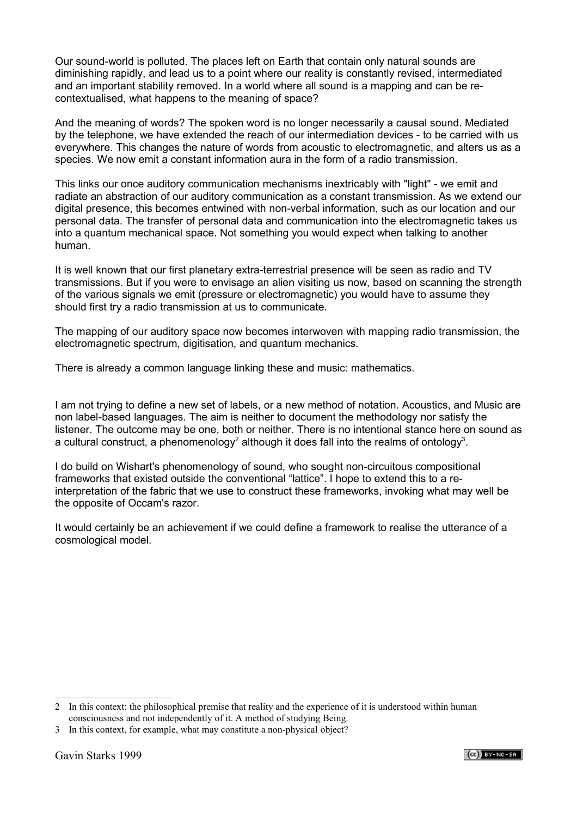Our sound-world is polluted. The places left on Earth that contain only natural sounds are diminishing rapidly, and lead us to a point where our reality is constantly revised, intermediated and an important stability removed. In a world where all sound is a mapping and can be recontextualised, what happens to the meaning of space?

And the meaning of words? The spoken word is no longer necessarily a causal sound. Mediated by the telephone, we have extended the reach of our intermediation devices - to be carried with us everywhere. This changes the nature of words from acoustic to electromagnetic, and alters us as a species. We now emit a constant information aura in the form of a radio transmission.

This links our once auditory communication mechanisms inextricably with "light" - we emit and radiate an abstraction of our auditory communication as a constant transmission. As we extend our digital presence, this becomes entwined with non-verbal information, such as our location and our personal data. The transfer of personal data and communication into the electromagnetic takes us into a quantum mechanical space. Not something you would expect when talking to another human.

It is well known that our first planetary extra-terrestrial presence will be seen as radio and TV transmissions. But if you were to envisage an alien visiting us now, based on scanning the strength of the various signals we emit (pressure or electromagnetic) you would have to assume they should first try a radio transmission at us to communicate.

The mapping of our auditory space now becomes interwoven with mapping radio transmission, the electromagnetic spectrum, digitisation, and quantum mechanics.

There is already a common language linking these and music: mathematics.

I am not trying to define a new set of labels, or a new method of notation. Acoustics, and Music are non label-based languages. The aim is neither to document the methodology nor satisfy the listener. The outcome may be one, both or neither. There is no intentional stance here on sound as a cultural construct, a phenomenology<sup>[2](#page-1-0)</sup> although it does fall into the realms of ontology<sup>[3](#page-1-1)</sup>.

I do build on Wishart's phenomenology of sound, who sought non-circuitous compositional frameworks that existed outside the conventional "lattice". I hope to extend this to a reinterpretation of the fabric that we use to construct these frameworks, invoking what may well be the opposite of Occam's razor.

It would certainly be an achievement if we could define a framework to realise the utterance of a cosmological model.



<span id="page-1-0"></span><sup>2</sup> In this context: the philosophical premise that reality and the experience of it is understood within human consciousness and not independently of it. A method of studying Being.

<span id="page-1-1"></span><sup>3</sup> In this context, for example, what may constitute a non-physical object?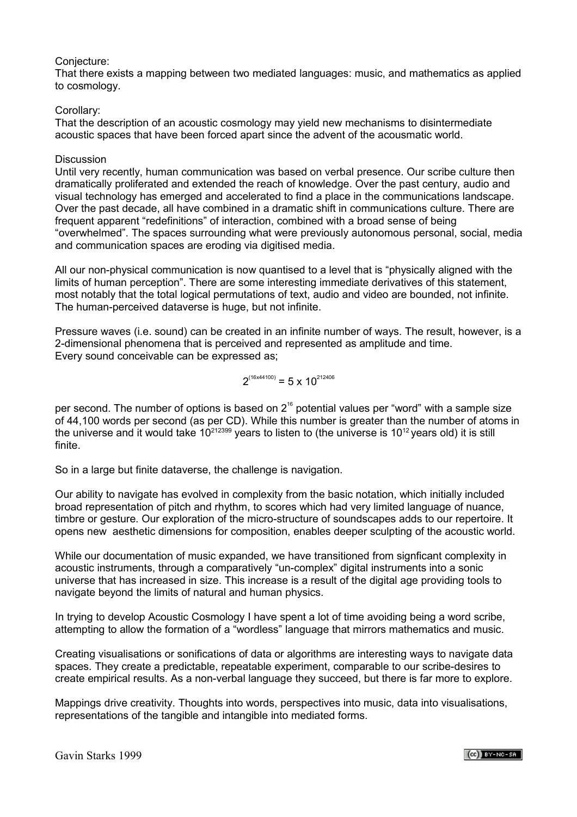## Conjecture:

That there exists a mapping between two mediated languages: music, and mathematics as applied to cosmology.

#### Corollary:

That the description of an acoustic cosmology may yield new mechanisms to disintermediate acoustic spaces that have been forced apart since the advent of the acousmatic world.

#### Discussion

Until very recently, human communication was based on verbal presence. Our scribe culture then dramatically proliferated and extended the reach of knowledge. Over the past century, audio and visual technology has emerged and accelerated to find a place in the communications landscape. Over the past decade, all have combined in a dramatic shift in communications culture. There are frequent apparent "redefinitions" of interaction, combined with a broad sense of being "overwhelmed". The spaces surrounding what were previously autonomous personal, social, media and communication spaces are eroding via digitised media.

All our non-physical communication is now quantised to a level that is "physically aligned with the limits of human perception". There are some interesting immediate derivatives of this statement, most notably that the total logical permutations of text, audio and video are bounded, not infinite. The human-perceived dataverse is huge, but not infinite.

Pressure waves (i.e. sound) can be created in an infinite number of ways. The result, however, is a 2-dimensional phenomena that is perceived and represented as amplitude and time. Every sound conceivable can be expressed as;

$$
2^{(16x44100)} = 5 \times 10^{212406}
$$

per second. The number of options is based on  $2^{16}$  potential values per "word" with a sample size of 44,100 words per second (as per CD). While this number is greater than the number of atoms in the universe and it would take  $10^{212399}$  years to listen to (the universe is  $10^{12}$  years old) it is still finite.

So in a large but finite dataverse, the challenge is navigation.

Our ability to navigate has evolved in complexity from the basic notation, which initially included broad representation of pitch and rhythm, to scores which had very limited language of nuance, timbre or gesture. Our exploration of the micro-structure of soundscapes adds to our repertoire. It opens new aesthetic dimensions for composition, enables deeper sculpting of the acoustic world.

While our documentation of music expanded, we have transitioned from signficant complexity in acoustic instruments, through a comparatively "un-complex" digital instruments into a sonic universe that has increased in size. This increase is a result of the digital age providing tools to navigate beyond the limits of natural and human physics.

In trying to develop Acoustic Cosmology I have spent a lot of time avoiding being a word scribe, attempting to allow the formation of a "wordless" language that mirrors mathematics and music.

Creating visualisations or sonifications of data or algorithms are interesting ways to navigate data spaces. They create a predictable, repeatable experiment, comparable to our scribe-desires to create empirical results. As a non-verbal language they succeed, but there is far more to explore.

Mappings drive creativity. Thoughts into words, perspectives into music, data into visualisations, representations of the tangible and intangible into mediated forms.